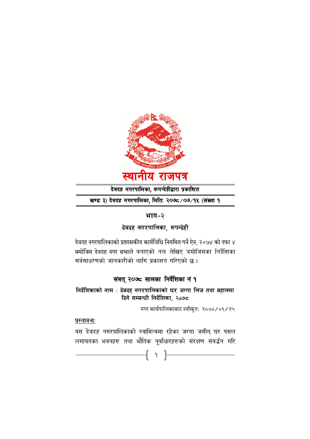

देवदह नगरपालिका, रूपन्देहीद्वारा प्रकाशित

खण्ड ३) देवदह नगरपालिका, मितिः २०७८/०७/१५ (संख्या १

# भाग-२

देवदह नगरपालिका, रूपन्देही

देवदह नगरपालिकाको प्रशासकीय कार्यविधि नियमित गर्ने ऐन, २०७४ को दफा ४ बमोजिम देवदह नगर सभाले बनाएको तल लेखिए बमोजिमका निर्देशिका सर्वसाधरणको जानकारीको लागि प्रकाशन गरिएको छ।

# संवत् २०७८ सालका निर्देशिका नं १

निर्देशिकाको नाम : देवदह नगरपालिकाको घर जग्गा लिज तथा बहालमा दिने सम्बन्धी निर्देशिका, २०७८

नगर कार्यपालिकाबाट स्वीकृतः २०७८/०६/२५

# प्रस्तावनाः

यस देवदह नगरपालिकाको स्वामित्वमा रहेका जग्गा जमीन, घर पसल लगायतका भवनहरु तथा भौतिक पूर्वाधारहरुको सरक्षण सवद्धेन गरि

1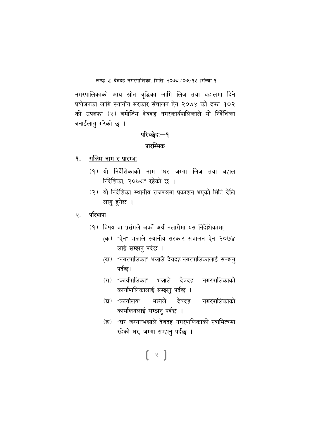नगरपालिकाको आय स्रोत वृद्धिका लागि लिज तथा वहालमा दिने प्रयोजनका लागि स्थानीय सरकार संचालन ऐन २०७४ को दफा १०२ को उपदफा (२) वमोजिम देवदह नगरकार्यपालिकाले यो निर्देशिका बनाईलागु गरेको छ ।

# परिच्छेदः-१ प्रारम्भिक

- संक्षिप्त नाम र प्रारम्भः ۹.
	- (१) यो निर्देशिकाको नाम "घर जग्गा लिज तथा बहाल निर्देशिका, २०७८" रहेको छ ।
	- (२) यो निर्देशिका स्थानीय राजपत्रमा प्रकाशन भएको मिति देखि लागु हुनेछ ।
- परिभाषा  $\mathcal{R}_{\bullet}$ 
	- (१) विषय वा प्रसंगले अर्को अर्थ नलागेमा यस निर्देशिकामा,
		- (क) "ऐन" भन्नाले स्थानीय सरकार संचालन ऐन २०७४ लाई सम्झनु पर्दछ ।
		- (ख) "नगरपालिका" भन्नाले देवदह नगरपालिकालाई सम्झनु पर्दछ।
		- (ग) "कार्यपालिका" भन्नाले देवदह नगरपालिकाको कार्यापालिकालाई सम्झनु पर्दछ ।
		- (घ) "कार्यालय" भन्नाले देवदह नगरपालिकाको कार्यालयलाई सम्झनु पर्दछ ।
		- (ङ) "घर जग्गा"भन्नाले देवदह नगरपालिकाको स्वामित्वमा रहेको घर, जग्गा सम्झनु पर्दछ ।

 $\{ \;\; : \;\; \}$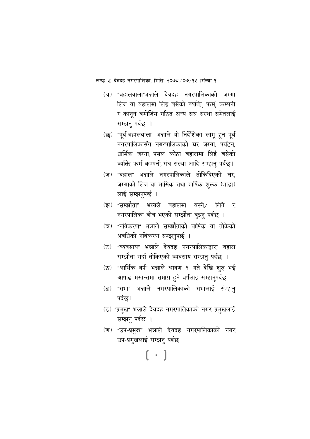- (च) "बहालवाला"भन्नाले देवदह नगरपालिकाको जग्गा लिज वा बहालमा लिइ बसेको ब्यक्ति फर्म कम्पनी र कानुन बमोजिम गठित अन्य संघ संस्था समेतलाई सम्झनु पर्दछ ।
- (छ) "पूर्व बहालवाला" भन्नाले यो निर्देशिका लागू हुन पूर्ब नगरपालिकासँग नगरपालिकाको घर जग्गा, पर्यटन, धार्मिक जग्गा, पसल कोठा बहालमा लिई बसेको ब्यक्ति, फर्म कम्पनी, संघ संस्था आदि सम्झनु पर्दछ।
- (ज) "वहाल" भन्नाले नगरपालिकाले तोकिदिएको घर जग्गाको लिज वा मासिक तथा बार्षिक शुल्क (भाडा) लाई सम्झनुपर्छ ।
- (झ) "सम्झौता" भन्नाले वहालमा बस्ने/ लिने  $\overline{\mathbf{v}}$ नगरपालिका बीच भएको सम्झौता बुझ्नु पर्दछ ।
- (ज) "नविकरण" भन्नाले सम्झौताको वार्षिक वा तोकेको अवधिको नबिकरण सम्झनुपर्छ ।
- (ट) "व्यवसाय" भन्नाले देवदह नगरपालिकाद्वारा वहाल सम्झौता गर्दा तोकिएको व्यवसाय सम्झनु पर्दछ ।
- (ठ) "आर्थिक वर्ष" भन्नाले श्रावण १ गते देखि शुरु भई आषाढ मसान्तमा समाप्त हुने बर्षलाइ सम्झनुपर्दछ।
- (ड) "सभा" भन्नाले नगरपालिकाको सभालाई संम्झनु पर्दछ ।
- (ढ) "प्रमुख" भन्नाले देवदह नगरपालिकाको नगर प्रमुखलाई सम्झनु पर्दछ ।
- (ण) "उप-प्रमुख" भन्नाले देवदह नगरपालिकाको नगर उप-प्रमुखलाई सम्झनु पर्दछ ।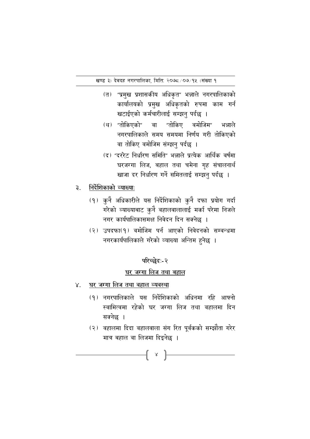- (त) "प्रमुख प्रशासकीय अधिकृत" भन्नाले नगरपालिकाको कार्यालयको प्रमुख अधिकृतको रुपमा काम गर्न खटाईएको कर्मचारीलाई सम्झनु पर्दछ ।
- (थ) "तोकिएको" "तोकिए वमोजिम" वा भन्नाले नगरपालिकाले समय समयमा निर्णय गरी तोकिएको वा तोकिए वमोजिम संम्झनु पर्दछ ।
- (द) "दररेट निर्धारण समिति" भन्नाले प्रत्येक आर्थिक वर्षमा घरजग्गा लिज, बहाल तथा चमेना गृह संचालनार्थ खाजा दर निर्धारण गर्ने समितलाई सम्झन पर्दछ ।
- निर्देशिकाको व्याख्याः  $\mathbf{B}$ 
	- (१) कुनै अधिकारीले यस निर्देशिकाको कुनै दफा प्रयोग गर्दा गरेको व्याख्याबाट कुनै वहालवालालाई मर्का परेमा निजले नगर कार्यपालिकासमक्ष निवेदन दिन सक्नेछ ।
	- (२) उपदफा(१) वमोजिम पर्न आएको निवेदनको सम्वन्धमा नगरकार्यपालिकाले गरेको व्याख्या अन्तिम हुनेछ ।

### परिच्छेद:-२

# घर जग्गा लिज तथा बहाल

- घर जग्गा लिज तथा वहाल व्यवस्था  $\mathsf{X}.$ 
	- (१) नगरपालिकाले यस निर्देशिकाको अधिनमा रहि आफ्नो स्वामित्वमा रहेको घर जग्गा लिज तथा वहालमा दिन सक्नेछ ।
	- (२) वहालमा दिदा वहालवाला संग रित पूर्वकको सम्झौता गरेर मात्र बहाल वा लिजमा दिइनेछ ।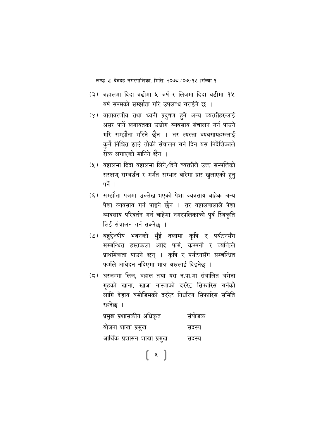- (३) बहालमा दिदा वढीमा ५ बर्ष र लिजमा दिदा वढीमा १५ बर्ष सम्मको सम्झौता गरि उपलव्ध गराईने छ ।
- (४) वातावरणीय तथा ध्वनी प्रदुषण हुने अन्य ब्यक्तीहरुलाई असर पार्ने लगायतका उद्योग ब्यबसाय संचालन गर्न पाउने गरि सम्झौता गरिने छैन । तर त्यस्ता व्यवसायहरुलाई कुनै निश्चित ठाउं तोकी संचालन गर्न दिन यस निर्देशिकाले रोक लगाएको मानिने छैन ।
- (५) वहालमा दिदा वहालमा लिने/दिने ब्यक्तीले उक्त सम्पत्तिको संरक्षण, सम्वर्द्धन र मर्मत सम्भार वारेमा प्रष्ट खुलाएको हुनु पर्ने ।
- (६) सम्झौता पत्रमा उल्लेख भएको पेशा व्यवसाय बाहेक अन्य पेशा व्यवसाय गर्न पाइने छैन । तर वहालवालाले पेशा व्यवसाय परिवर्तन गर्न चाहेमा नगरपलिकाको पूर्व स्विकृति लिई संचालन गर्न सक्नेछ ।
- (७) बहुद्देश्यीय भवनको भुँई तलामा कृषि र पर्यटनसँग सम्बन्धित हस्तकला आदि फर्म. कम्पनी र व्यक्तिले प्राथमिकता पाउने छन् । कृषि र पर्यटनसँग सम्बन्धित फर्मले आवेदन नदिएमा मात्र अरुलाई दिइनेछ ।
- (८) घरजग्गा लिज, बहाल तथा यस न.पा.मा संचालित चमेना गृहको खाना, खाजा नास्ताको दररेट सिफारिस गर्नको लागि देहाय बमोजिमको दररेट निर्धारण सिफारिस समिति रहनेछ ।

| प्रमुख प्रशासकीय अधिकृत    | संयोजक |
|----------------------------|--------|
| योजना शाखा प्रमुख          | सदस्य  |
| आर्थिक प्रशासन शाखा प्रमुख | सदस्य  |

—[ x ]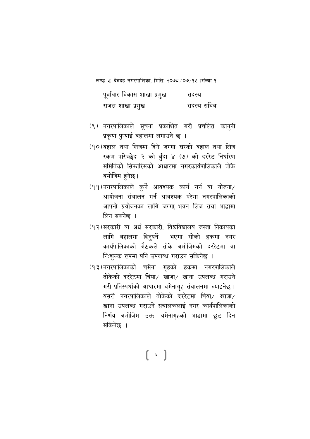| पूर्वाधार विकास शाखा प्रमुख | सदस्य      |
|-----------------------------|------------|
| राजश्व शाखा प्रमुख          | सदस्य सचिव |

- (९) नगरपालिकाले सूचना प्रकाशित गरी प्रचलित कानुनी प्रकृया पुऱ्याई वहालमा लगाउने छ ।
- (१०)वहाल तथा लिजमा दिने जग्गा घरको वहाल तथा लिज रकम परिच्छेद २ को बुँदा ४ (७) को दररेट निर्धारण समितिको सिफारिसको आधारमा नगरकार्यपालिकाले तोके वमोजिम हुनेछ।
- (११)नगरपालिकाले कुनै आवश्यक कार्य गर्न वा योजना/ आयोजना संचालन गर्न आवश्यक परेमा नगरपालिकाको आफ्नो प्रयोजनका लागि जग्गा, भवन लिज तथा भाडामा लिन सक्नेछ ।
- (१२)सरकारी वा अर्ध सरकारी, विश्वविद्यालय जस्ता निकायका लागि वहालमा दिनुपर्ने भएमा सोको हकमा नगर कार्यपालिकाको बैठकले तोके बमोजिमको दररेटमा वा निःशुल्क रुपमा पनि उपलब्ध गराउन सकिनेछ ।
- (१३)नगरपालिकाको चमेना गृहको हकमा नगरपालिकाले तोकेको दररेटमा चिया/ खाजा/ खाना उपलब्ध गराउने गरी प्रतिस्पर्धाको आधारमा चमेनागृह संचालनमा ल्याइनेछ। यसरी नगरपालिकाले तोकेको दररेटमा चिया/ खाजा/ खाना उपलब्ध गराउने संचालकलाई नगर कार्यपालिकाको निर्णय बमोजिम उक्त चमेनागृहको भाडामा छुट दिन सकिनेछ ।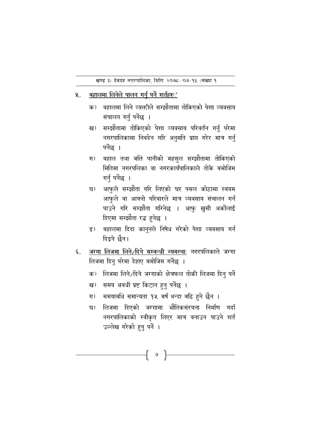- बहालमा लिनेले पालन गर्नु पर्ने शर्तहरुः'  $\mathbf{y}$ .
	- वहालमा लिने व्यक्तीले सम्झौतामा तोकिएको पेशा व्यवसाय क) संचालन गर्नु पर्नेछ ।
	- सम्झौतामा तोकिएको पेशा व्यवसाय परिवर्तन गर्नु परेमा ख) नगरपालिकामा निवदेन गरि अनुमति प्राप्त गरेर मात्र गर्नु पर्नेछ ।
	- वहाल तथा बत्ति पानीको महसुल सम्झौतामा तोकिएको  $\Pi$ मितिमा नगरपलिका वा नगरकार्यपालिकाले तोके बमोजिम गर्नु पर्नेछ ।
	- आफुले सम्झौता गरि लिएको घर पसल कोठामा स्वयम घ) आफुले वा आफ्नो परिवारले मात्र व्यवसाय संचालन गर्न पाउने गरि सम्झौता गरिनेछ । आफु खुसी अर्कोलाई दिएमा सम्झौता रद्ध हुनेछ ।
	- बहालमा दिदा कानूनले निषेध गरेको पेशा व्यवसाय गर्न ङ) दिइने छैन।
- जग्गा लिजमा लिने/दिने सम्बन्धी ब्यबस्थाः नगरपलिकाले जग्गा ६. लिजमा दिनु परेमा देहाए बमोजिम गर्नेछ ।
	- लिजमा लिने/दिने जग्गाको क्षेत्रफल तोकी लिजमा दिनु पर्ने क)
	- समय अवधी प्रष्ट किटान हुनु पर्नेछ । ख)
	- समयावधि समान्यता १५ बर्ष भन्दा बढि हुने छैन ।  $\Pi$
	- लिजमा दिएको जग्गामा भौतिकसंरचना निर्माण गर्दा घ) नगरपालिकाको स्वीकृत लिएर मात्र वनाउन पाउने शर्त उल्लेख गरेको हुनु पर्ने ।

 $\begin{bmatrix} \circ \end{bmatrix}$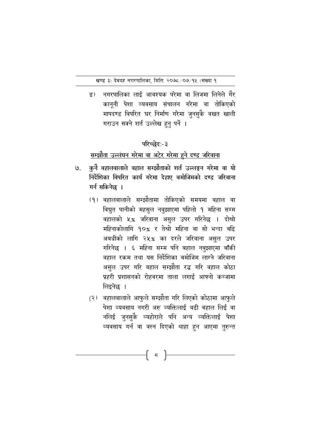<u>दः)</u> नगरपालिका लाई आवश्यक परेमा वा लिजमा लिनेले गैर कानूनी पेशा व्यवसाय संचालन गरेमा वा तोकिएको मापदण्ड विपरित घर निर्माण गरेमा जुनसुकै वखत खाली गराउन सक्ने शर्त उल्लेख हुनु पर्ने ।

### परिच्छेदः-३

# <u>सम्झौता उल्लंघन गरेमा वा अटेर गरेमा हुने दण्ड जरिवाना</u>

- कुनै वहालवालाले वहाल सम्झौताको शर्त उल्लङ्घन गरेमा वा यो ७. निर्देशिका विपरित कार्य गरेमा देहाए बमोजिमको दण्ड जरिवाना गर्न सकिनेछ ।
	- (१) वहालवालाले सम्झौतामा तोकिएको समयमा वहाल वा विद्युत पानीको महसुल नवुझाएमा पहिलो १ महिना सम्म वहालको ५% जरिवाना असुल उपर गरिनेछ । दोश्रो महिनाकोलागि १०% र तेश्रो महिना वा सो भन्दा बढि अबधीको लागि २५% का दरले जरिवाना असुल उपर गरिनेछ । ६ महिना सम्म पनि बहाल नबुझाएमा बाँकी वहाल रकम तथा यस निर्देशिका बमोजिम लाग्ने जरिवाना असुल उपर गरि वहाल सम्झौता रद्ध गरि वहाल कोठा प्रहरी प्रशासनको रोहवरमा ताला लगाई आफ्नो कब्जामा लिइनेछ ।
	- (२) वहालवालाले आफुले सम्झौता गरि लिएको कोठामा आफुले पेशा व्यवसाय नगरी अरु ब्यक्तिलाई वढी बहाल लिई वा नलिई जुनसुकै व्यहोराले पनि अन्य व्यक्तिलाई पेशा व्यवसाय गर्न वा वस्न दिएको थाहा हुन आएमा तुरुन्त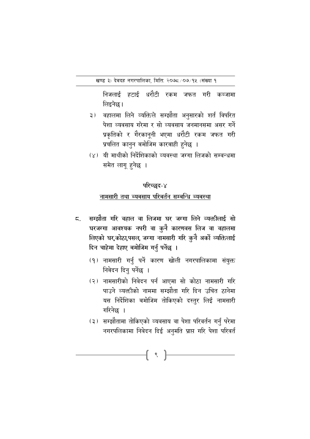निजलाई हटाई धरौटी रकम जफत गरी कब्जामा लिइनेछ।

- ३) वहालमा लिने व्यक्तिले सम्झौता अनुसारको शर्त विपरित पेशा व्यवसाय गरेमा र सो व्यवसाय जनमानसमा असर गर्ने प्रकृतिको र गैरकानूनी भएमा धरौटी रकम जफत गरी प्रचलित कानुन बमोजिम कारबाही हुनेछ ।
- (x) यी माथीको निर्देशिकाको व्यवस्था जग्गा लिजको सम्वन्धमा समेत लागू हुनेछ ।

# परिच्छद-४

### नामसारी तथा ब्यबसाय परिबर्तन सम्बन्धि ब्यबस्था

- सम्झौता गरि वहाल वा लिजमा घर जग्गा लिने व्यक्तीलाई सो ζ. घरजग्गा आवश्यक नपरी वा कुनै कारणवस लिज वा वहालमा लिएको घर,कोठा,पसल, जग्गा नामसारी गरि कुनै अर्को व्यक्तिलाई दिन चाहेमा देहाए बमोजिम गर्नु पर्नेछ ।
	- (१) नामसारी गर्नु पर्ने कारण खोली नगरपालिकामा संयुक्त निबेदन दिनु पर्नेछ ।
	- (२) नामसारीको निवेदन पर्न आएमा सो कोठा नामसारी गरि पाउने व्यक्तीको नाममा सम्झौता गरि दिन उचित ठानेमा यस निर्देशिका बमोजिम तोकिएको दस्तुर लिई नामसारी गरिनेछ ।
	- (३) सम्झौतामा तोकिएको व्यवसाय वा पेशा परिवर्तन गर्नु परेमा नगरपलिकामा निवेदन दिई अनुमति प्राप्त गरि पेशा परिवर्त

९  $\vert$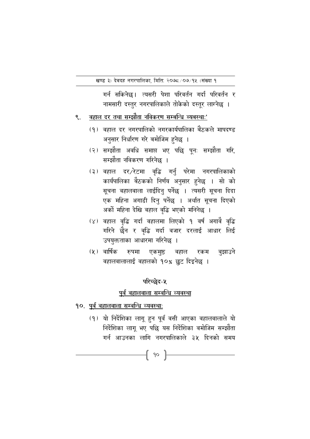गर्न सकिनेछ। त्यसरी पेशा परिवर्तन गर्दा परिवर्तन र नामसारी दस्तुर नगरपालिकाले तोकेको दस्तूर लाग्नेछ ।

#### वहाल दर तथा सम्झौता नविकरण सम्बन्धि ब्यबस्थाः' ९.

- (१) वहाल दर नगरपालिको नगरकार्यपालिका बैंठकले मापदण्ड अनुसार निर्धारण गरे बमोजिम हुनेछ ।
- (२) सम्झौता अवधि समाप्त भए पछि पुनः सम्झौता गरि, सम्झौता नविकरण गरिनेछ ।
- (३) वहाल दर/रेटमा वृद्धि गर्नु परेमा नगरपालिकाको कार्यपालिका बैठकको निर्णय अनुसार हुनेछ । सो को सूचना वहालवाला लाईदिनु पर्नेछ । त्यसरी सुचना दिदा एक महिना अगाडी दिनु पर्नेछ । अर्थात सूचना दिएको अर्को महिना देखि वहाल वृद्धि भएको मनिनेछ ।
- (४) वहाल वृद्धि गर्दा वहालमा लिएको १ वर्ष अगावे वृद्धि गरिने छैन र वृद्धि गर्दा वजार दरलाई आधार लिई उपयुक्तताका आधारमा गरिनेछ ।
- (५) वार्षिक रुपमा एकमुष्ठ वहाल रकम वुझाउने वहालवालालाई वहालको १०% छुट दिइनेछ ।

### परिच्छेद-५

### पूर्व वहालवाला सम्वन्धि व्यवस्था

- १०. पूर्व वहालवाला सम्वन्धि व्यवस्थाः
	- (१) यो निर्देशिका लागू हुन पूर्व वसी आएका वहालवालाले यो निर्देशिका लागू भए पछि यस निर्देशिका वमोजिम सम्झौता गर्न आउनका लागि नगरपालिकाले ३५ दिनको समय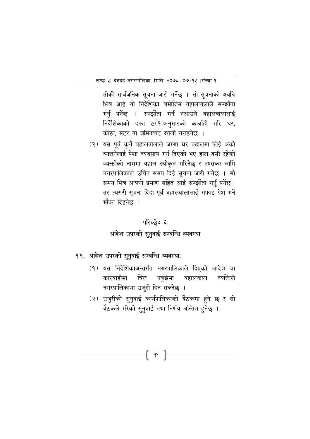तोकी सार्बजनिक सुचना जारी गर्नेछ । सो सुचनाको अवधि भित्र आई यो निर्देशिका बमोजिम वहालवालाले सम्झौता गर्नु पर्नेछ । सम्झौता गर्न नआउने वहालवालालाई निर्देशिकाको दफा ७(१)अनुसारको कार्बाही गरि घर, कोठा, सटर वा जमिनबाट खाली गराइनेछ ।

(२) यस पूर्व कुनै बहालवालाले जग्गा घर वहालमा लिई अर्को व्यक्तीलाई पेशा व्यवसाय गर्न दिएको भए हाल वसी रहेको व्यक्तीको नाममा वहाल स्वीकृत गरिनेछ र त्यसका लागि नगरपालिकाले उचित समय दिई सूचना जारी गर्नेछ । सो समय भित्र आफ्नो प्रमाण सहित आई सम्झौता गर्नु पर्नेछ। तर त्यसरी सूचना दिदा पूर्व वहालवालालाई सफाइ पेश गर्ने मौका दिइनेछ ।

# परिच्छेद-६ आदेश उपरको सुनुवाई सम्वन्धि व्यवस्था

- ११. आदेश उपरको सुनुवाई सम्बन्धि व्यवस्था:
	- (१) यस निर्देशिकाअन्तर्गत नगरपालिकाले दिएको आदेश वा कारवाहीमा चित्त नबझेमा वहालवाला व्यक्तिले नगरपालिकामा उजुरी दिन सक्नेछ ।
	- (२) उजुरीको सुनुवाई कार्यपालिकाको वैठकमा हुने छ र सो वैठकले गरेको सुनुवाई तथा निर्णय अन्तिम हुनेछ ।

{ 99 }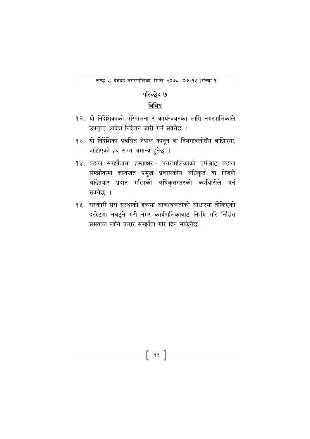# परिच्छेद-७

### बिबिध

- १२. यो निर्देशिकाको परिपालना र कार्यन्वयनका लागि नगरपालिकाले उपयुक्त आदेश निर्देशन जारी गर्न सक्नेछ ।
- १३. यो निर्देशिका प्रचलित नेपाल कानून वा नियमावलीसँग बाझिएमा, बाझिएको हद सम्म अमान्य हुनेछ ।
- १४. बहाल सम्झौतामा हस्ताक्षरः- नगरपालिकाको तर्फबाट बहाल सम्झौतामा दस्तखत प्रमुख प्रशासकीय अधिकृत वा निजले अख्तियार प्रदान गरिएको अधिकृतस्तरको कर्मचारीले गर्न सक्नेछ ।
- १५. सरकारी संघ संस्थाको हकमा आवश्यकताको आधारमा तोकिएको दररेटमा नघट्ने गरी नगर कार्यपालिकाबाट निर्णय गरि निश्चित समयका लागि करार सम्झौता गरि दिन सकिनेछ ।

{ 9? }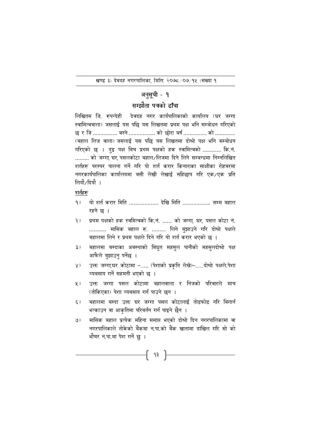# अनुसूची - १

### सम्झौता पत्रको हाँचा

देवदह नगर कार्यपालिकाको कार्यालय (घर जग्गा लिखितम जि. रुपन्देही स्वामित्ववाला) जसलाई यस पछि यस लिखतमा प्रथम पक्ष भनि सम्बोधन गरिएको छ र जि................ बस्ने ................. को छोरा बर्ष ............... को ............. (बहाल लिज वाला) जसलाई यस पछि यस लिखतमा दोश्रो पक्ष भनि सम्बोधन गरिएको छ । दुइ पक्ष बिच प्रथम पक्षको हक स्वामित्वको ............ कि.नं. ......... को जग्गा घर पसलकोठा बहाल/लिजमा दिने लिने सम्बन्धमा निम्नलिखित शर्तहरु परस्पर पालना गर्ने गरि यो शर्त करार किनाराका साक्षीका रोहबरमा नगरकार्यपालिका कार्यालयमा बसी लेखी लेखाई सहिछाप गरि एक/एक प्रति लियौे∕दियौ ।

### शर्तहरु

- $9)$ यो शर्त करार मिति ................... देखि मिति .................. सम्म बहाल रहने छ ।
- प्रथम पक्षको हक स्वमित्वको कि.नं. ...... को जग्गा, घर, पसल कोठा नं.  $\overline{z}$ ) ........... मासिक बहाल रु. ......... लिने बुझाउने गरि दोश्रो पक्षले बहालमा लिने र प्रथम पक्षले दिने गरि यो शर्त करार भएको छ ।
- बहालमा बस्दाका अबस्थाको बिद्युत महसुल पानीको महसुलदोश्रो पक्ष  $\mathfrak{Z}$ ) आफैले बझाउन पर्नेछ ।
- उक्त जग्गा,घर कोठामा -...... (पेशाको प्रकृति लेखे)-.......दोश्रो पक्षले.पेशा  $X)$ ब्यबसाय गर्ने सहमती भएको छ ।
- उक्त जग्गा पसल कोठामा बहालवाला र निजको परिवारले मात्र  $\mathbf{y}$ ) (तोकिएका) पेशा ब्यबसाय गर्न पाउने छन ।
- बहालमा बस्दा उक्त घर जग्गा पसल कोठालाई तोडफोड गरि बिगार्न  $\xi$ ) भत्काउन वा आकृतिमा परिबर्तन गर्न पाइने छैन ।
- मासिक बहाल प्रत्येक महिना समाप्त भएको दोश्रो दिन नगरपालिकामा वा ৩) नगरपालिकाले तोकेको बैंकमा न.पा.को बैंक खातामा दाखिल गरि सो को भौचर न.पा.मा पेश गर्ने छु ।